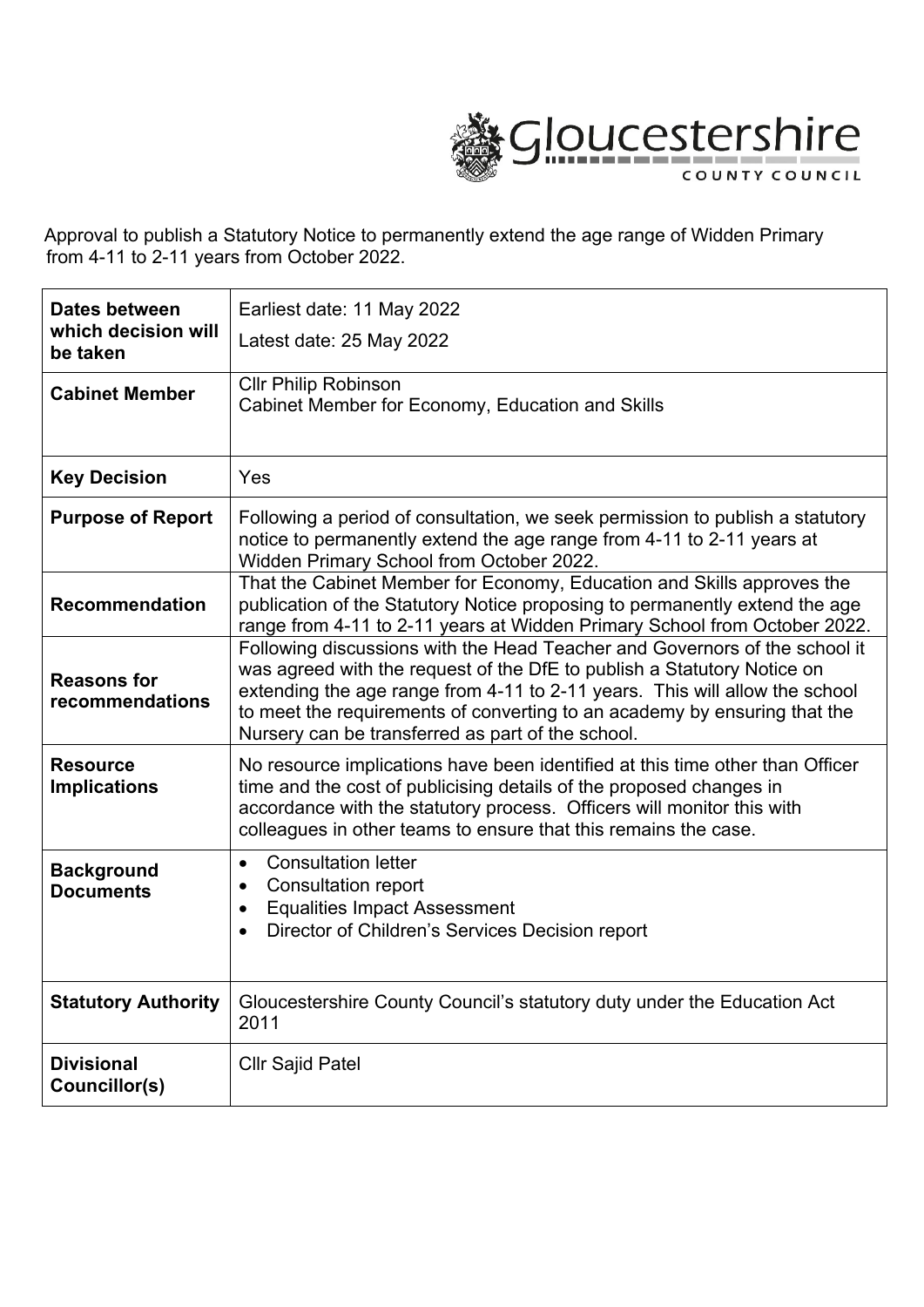

Approval to publish a Statutory Notice to permanently extend the age range of Widden Primary from 4-11 to 2-11 years from October 2022.

| <b>Dates between</b>                   | Earliest date: 11 May 2022                                                                                                                                                                                                                                                                                                                                             |
|----------------------------------------|------------------------------------------------------------------------------------------------------------------------------------------------------------------------------------------------------------------------------------------------------------------------------------------------------------------------------------------------------------------------|
| which decision will<br>be taken        | Latest date: 25 May 2022                                                                                                                                                                                                                                                                                                                                               |
| <b>Cabinet Member</b>                  | <b>Cllr Philip Robinson</b><br>Cabinet Member for Economy, Education and Skills                                                                                                                                                                                                                                                                                        |
| <b>Key Decision</b>                    | Yes                                                                                                                                                                                                                                                                                                                                                                    |
| <b>Purpose of Report</b>               | Following a period of consultation, we seek permission to publish a statutory<br>notice to permanently extend the age range from 4-11 to 2-11 years at<br>Widden Primary School from October 2022.                                                                                                                                                                     |
| <b>Recommendation</b>                  | That the Cabinet Member for Economy, Education and Skills approves the<br>publication of the Statutory Notice proposing to permanently extend the age<br>range from 4-11 to 2-11 years at Widden Primary School from October 2022.                                                                                                                                     |
| <b>Reasons for</b><br>recommendations  | Following discussions with the Head Teacher and Governors of the school it<br>was agreed with the request of the DfE to publish a Statutory Notice on<br>extending the age range from 4-11 to 2-11 years. This will allow the school<br>to meet the requirements of converting to an academy by ensuring that the<br>Nursery can be transferred as part of the school. |
| <b>Resource</b><br><b>Implications</b> | No resource implications have been identified at this time other than Officer<br>time and the cost of publicising details of the proposed changes in<br>accordance with the statutory process. Officers will monitor this with<br>colleagues in other teams to ensure that this remains the case.                                                                      |
| <b>Background</b><br><b>Documents</b>  | <b>Consultation letter</b><br>$\bullet$<br><b>Consultation report</b><br>$\bullet$<br><b>Equalities Impact Assessment</b><br>$\bullet$<br>Director of Children's Services Decision report<br>$\bullet$                                                                                                                                                                 |
| <b>Statutory Authority</b>             | Gloucestershire County Council's statutory duty under the Education Act<br>2011                                                                                                                                                                                                                                                                                        |
| <b>Divisional</b><br>Councillor(s)     | <b>CIIr Sajid Patel</b>                                                                                                                                                                                                                                                                                                                                                |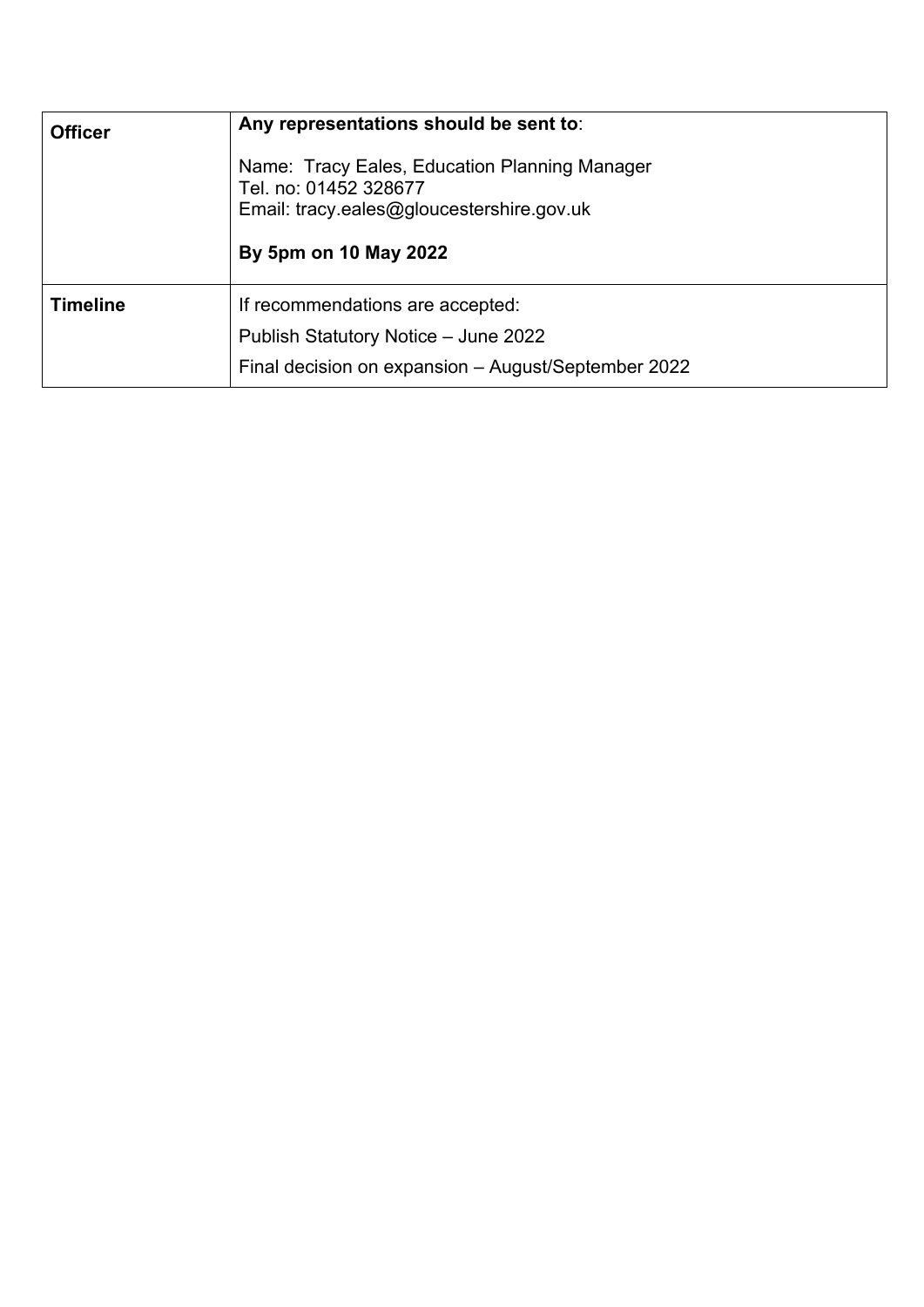| <b>Officer</b>  | Any representations should be sent to:                                                                                                       |
|-----------------|----------------------------------------------------------------------------------------------------------------------------------------------|
|                 | Name: Tracy Eales, Education Planning Manager<br>Tel. no: 01452 328677<br>Email: tracy.eales@gloucestershire.gov.uk<br>By 5pm on 10 May 2022 |
| <b>Timeline</b> | If recommendations are accepted:<br>Publish Statutory Notice - June 2022<br>Final decision on expansion - August/September 2022              |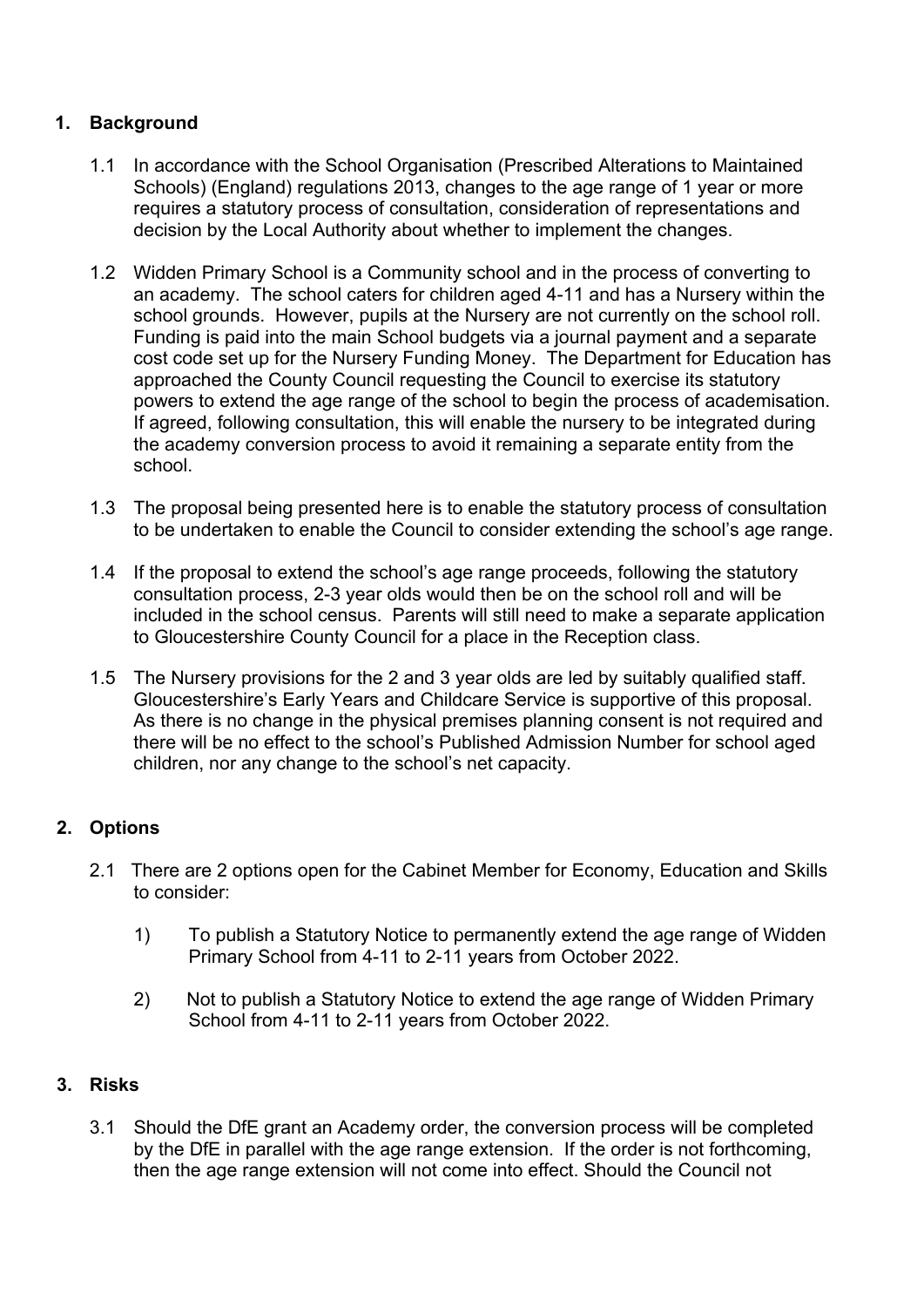## **1. Background**

- 1.1 In accordance with the School Organisation (Prescribed Alterations to Maintained Schools) (England) regulations 2013, changes to the age range of 1 year or more requires a statutory process of consultation, consideration of representations and decision by the Local Authority about whether to implement the changes.
- 1.2 Widden Primary School is a Community school and in the process of converting to an academy. The school caters for children aged 4-11 and has a Nursery within the school grounds. However, pupils at the Nursery are not currently on the school roll. Funding is paid into the main School budgets via a journal payment and a separate cost code set up for the Nursery Funding Money. The Department for Education has approached the County Council requesting the Council to exercise its statutory powers to extend the age range of the school to begin the process of academisation. If agreed, following consultation, this will enable the nursery to be integrated during the academy conversion process to avoid it remaining a separate entity from the school.
- 1.3 The proposal being presented here is to enable the statutory process of consultation to be undertaken to enable the Council to consider extending the school's age range.
- 1.4 If the proposal to extend the school's age range proceeds, following the statutory consultation process, 2-3 year olds would then be on the school roll and will be included in the school census. Parents will still need to make a separate application to Gloucestershire County Council for a place in the Reception class.
- 1.5 The Nursery provisions for the 2 and 3 year olds are led by suitably qualified staff. Gloucestershire's Early Years and Childcare Service is supportive of this proposal. As there is no change in the physical premises planning consent is not required and there will be no effect to the school's Published Admission Number for school aged children, nor any change to the school's net capacity.

## **2. Options**

- 2.1 There are 2 options open for the Cabinet Member for Economy, Education and Skills to consider:
	- 1) To publish a Statutory Notice to permanently extend the age range of Widden Primary School from 4-11 to 2-11 years from October 2022.
	- 2) Not to publish a Statutory Notice to extend the age range of Widden Primary School from 4-11 to 2-11 years from October 2022.

## **3. Risks**

3.1 Should the DfE grant an Academy order, the conversion process will be completed by the DfE in parallel with the age range extension. If the order is not forthcoming, then the age range extension will not come into effect. Should the Council not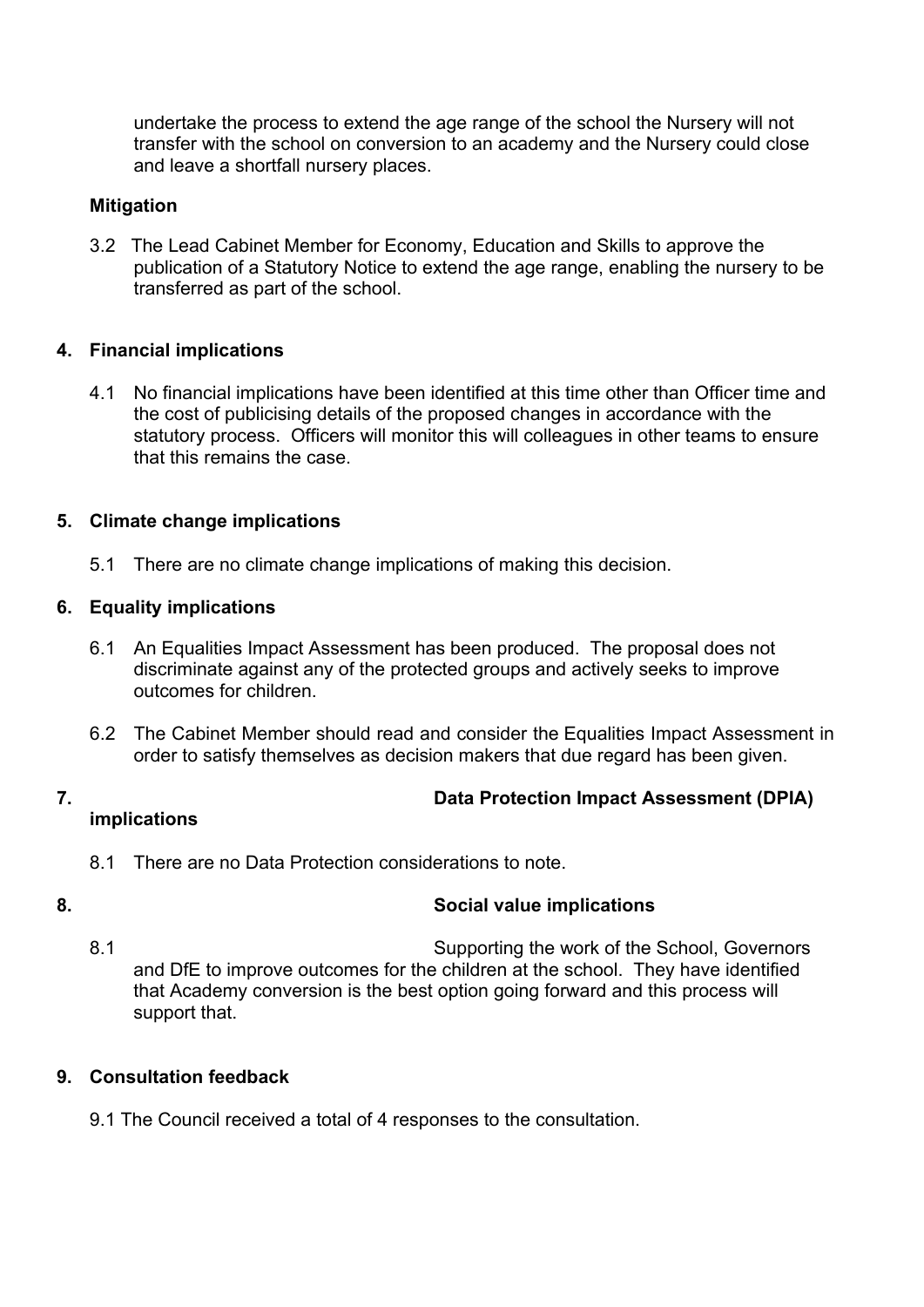undertake the process to extend the age range of the school the Nursery will not transfer with the school on conversion to an academy and the Nursery could close and leave a shortfall nursery places.

#### **Mitigation**

3.2 The Lead Cabinet Member for Economy, Education and Skills to approve the publication of a Statutory Notice to extend the age range, enabling the nursery to be transferred as part of the school.

#### **4. Financial implications**

4.1 No financial implications have been identified at this time other than Officer time and the cost of publicising details of the proposed changes in accordance with the statutory process. Officers will monitor this will colleagues in other teams to ensure that this remains the case.

#### **5. Climate change implications**

5.1 There are no climate change implications of making this decision.

#### **6. Equality implications**

- 6.1 An Equalities Impact Assessment has been produced. The proposal does not discriminate against any of the protected groups and actively seeks to improve outcomes for children.
- 6.2 The Cabinet Member should read and consider the Equalities Impact Assessment in order to satisfy themselves as decision makers that due regard has been given.

# **7. Data Protection Impact Assessment (DPIA)**

## **implications**

8.1 There are no Data Protection considerations to note.

## **8. Social value implications**

8.1 Supporting the work of the School, Governors and DfE to improve outcomes for the children at the school. They have identified that Academy conversion is the best option going forward and this process will support that.

#### **9. Consultation feedback**

9.1 The Council received a total of 4 responses to the consultation.